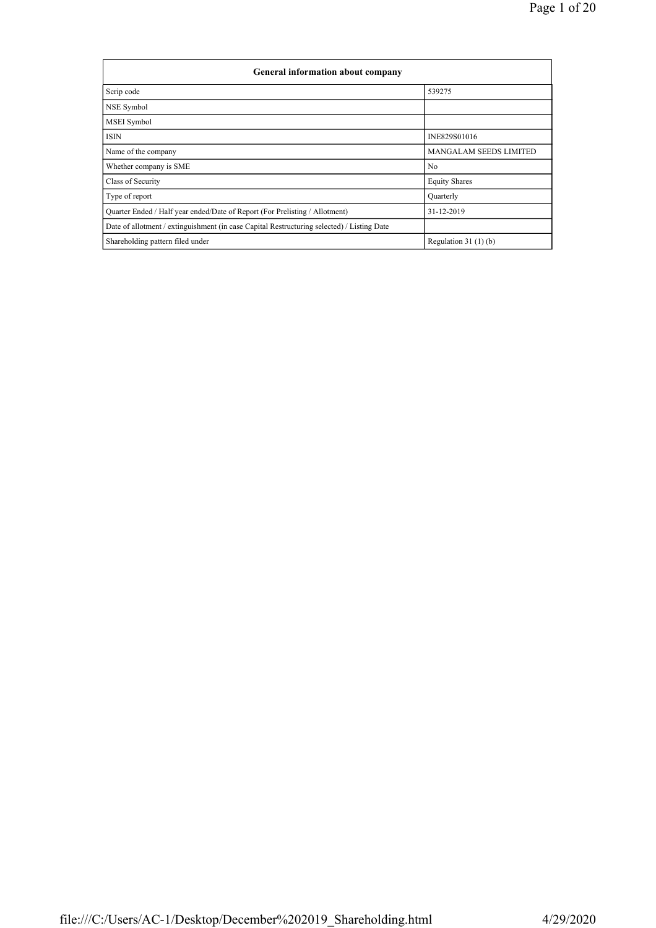| General information about company                                                          |                               |
|--------------------------------------------------------------------------------------------|-------------------------------|
| Scrip code                                                                                 | 539275                        |
| NSE Symbol                                                                                 |                               |
| <b>MSEI</b> Symbol                                                                         |                               |
| <b>ISIN</b>                                                                                | INE829S01016                  |
| Name of the company                                                                        | <b>MANGALAM SEEDS LIMITED</b> |
| Whether company is SME                                                                     | N <sub>0</sub>                |
| Class of Security                                                                          | <b>Equity Shares</b>          |
| Type of report                                                                             | Quarterly                     |
| Quarter Ended / Half year ended/Date of Report (For Prelisting / Allotment)                | 31-12-2019                    |
| Date of allotment / extinguishment (in case Capital Restructuring selected) / Listing Date |                               |
| Shareholding pattern filed under                                                           | Regulation $31(1)(b)$         |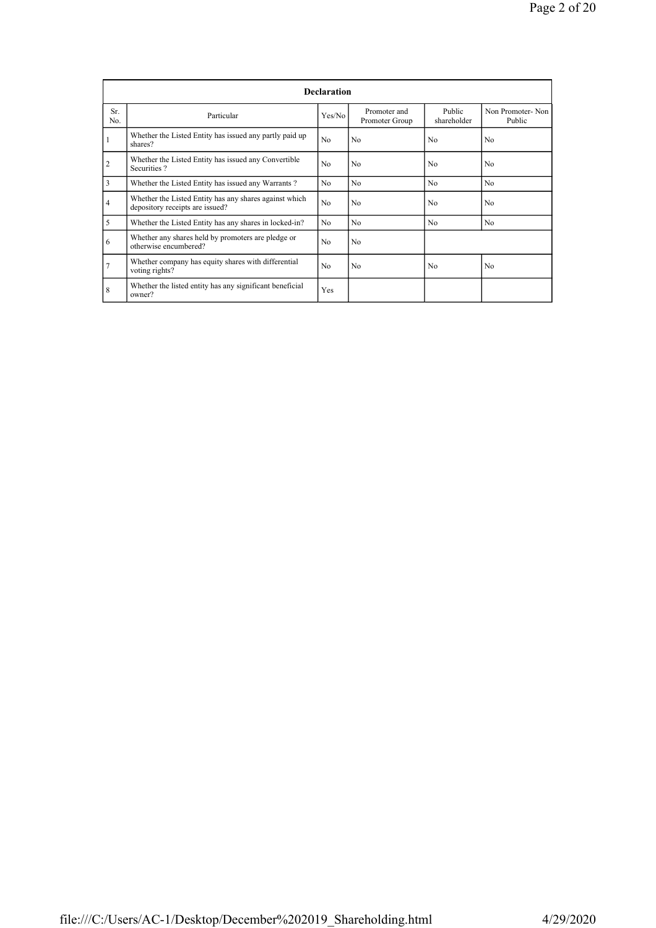|                |                                                                                           | <b>Declaration</b> |                                |                       |                            |
|----------------|-------------------------------------------------------------------------------------------|--------------------|--------------------------------|-----------------------|----------------------------|
| Sr.<br>No.     | Particular                                                                                | Yes/No             | Promoter and<br>Promoter Group | Public<br>shareholder | Non Promoter-Non<br>Public |
|                | Whether the Listed Entity has issued any partly paid up<br>shares?                        | No                 | N <sub>0</sub>                 | No                    | N <sub>0</sub>             |
| $\overline{2}$ | Whether the Listed Entity has issued any Convertible<br>Securities?                       | No                 | N <sub>0</sub>                 | N <sub>0</sub>        | No                         |
| 3              | Whether the Listed Entity has issued any Warrants?                                        | N <sub>0</sub>     | N <sub>0</sub>                 | N <sub>0</sub>        | N <sub>0</sub>             |
| $\overline{4}$ | Whether the Listed Entity has any shares against which<br>depository receipts are issued? | No                 | N <sub>0</sub>                 | No                    | No                         |
| 5              | Whether the Listed Entity has any shares in locked-in?                                    | No                 | N <sub>0</sub>                 | No                    | N <sub>0</sub>             |
| 6              | Whether any shares held by promoters are pledge or<br>otherwise encumbered?               | No                 | N <sub>0</sub>                 |                       |                            |
| 7              | Whether company has equity shares with differential<br>voting rights?                     | No.                | N <sub>0</sub>                 | No                    | N <sub>0</sub>             |
| 8              | Whether the listed entity has any significant beneficial<br>owner?                        | Yes                |                                |                       |                            |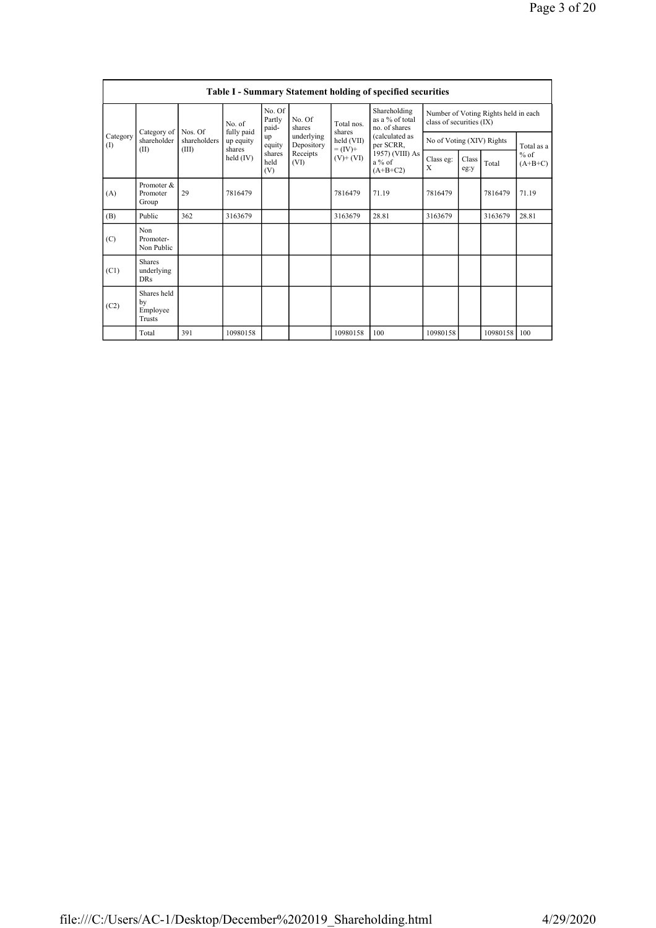|                 |                                           |                         |                         |                           |                          |                                    | <b>Table I - Summary Statement holding of specified securities</b> |                                                                  |                           |                |               |       |                     |
|-----------------|-------------------------------------------|-------------------------|-------------------------|---------------------------|--------------------------|------------------------------------|--------------------------------------------------------------------|------------------------------------------------------------------|---------------------------|----------------|---------------|-------|---------------------|
|                 |                                           |                         | No. of                  | No. Of<br>Partly<br>paid- | No. Of<br>shares         | Total nos.                         | Shareholding<br>as a % of total<br>no. of shares                   | Number of Voting Rights held in each<br>class of securities (IX) |                           |                |               |       |                     |
| Category<br>(1) | Category of<br>shareholder                | Nos. Of<br>shareholders | fully paid<br>up equity | up<br>equity              | underlying<br>Depository | shares<br>held (VII)               | (calculated as<br>per SCRR,                                        |                                                                  | No of Voting (XIV) Rights |                | Total as a    |       |                     |
|                 | (II)                                      | (III)                   | shares<br>held (IV)     | shares<br>held<br>(V)     | Receipts<br>(VI)         | $= (IV) +$<br>a % of<br>$(A+B+C2)$ |                                                                    | 1957) (VIII) As<br>$(V)$ + $(VI)$                                |                           | Class eg:<br>X | Class<br>eg:y | Total | $%$ of<br>$(A+B+C)$ |
| (A)             | Promoter &<br>Promoter<br>Group           | 29                      | 7816479                 |                           |                          | 7816479                            | 71.19                                                              | 7816479                                                          |                           | 7816479        | 71.19         |       |                     |
| (B)             | Public                                    | 362                     | 3163679                 |                           |                          | 3163679                            | 28.81                                                              | 3163679                                                          |                           | 3163679        | 28.81         |       |                     |
| (C)             | Non<br>Promoter-<br>Non Public            |                         |                         |                           |                          |                                    |                                                                    |                                                                  |                           |                |               |       |                     |
| (C1)            | <b>Shares</b><br>underlying<br><b>DRs</b> |                         |                         |                           |                          |                                    |                                                                    |                                                                  |                           |                |               |       |                     |
| (C2)            | Shares held<br>by<br>Employee<br>Trusts   |                         |                         |                           |                          |                                    |                                                                    |                                                                  |                           |                |               |       |                     |
|                 | Total                                     | 391                     | 10980158                |                           |                          | 10980158                           | 100                                                                | 10980158                                                         |                           | 10980158       | 100           |       |                     |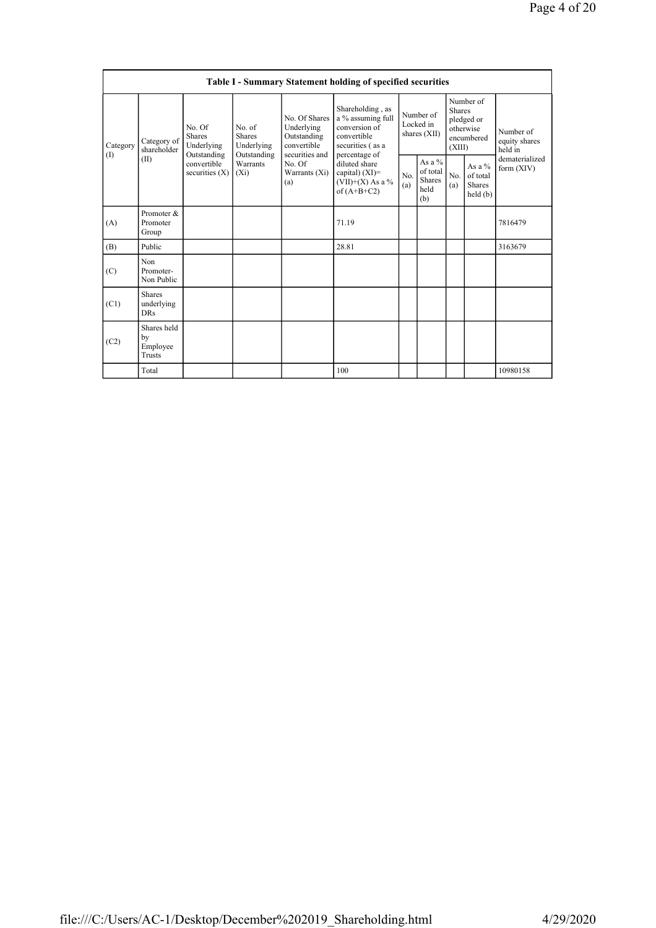|                 |                                                                      |                                 |                                                      |                                                                             | Table I - Summary Statement holding of specified securities                                                |                                        |                                               |                                                                               |                                           |                                       |
|-----------------|----------------------------------------------------------------------|---------------------------------|------------------------------------------------------|-----------------------------------------------------------------------------|------------------------------------------------------------------------------------------------------------|----------------------------------------|-----------------------------------------------|-------------------------------------------------------------------------------|-------------------------------------------|---------------------------------------|
| Category<br>(1) | No. Of<br><b>Shares</b><br>Category of<br>shareholder<br>Outstanding | Underlying                      | No. of<br><b>Shares</b><br>Underlying<br>Outstanding | No. Of Shares<br>Underlying<br>Outstanding<br>convertible<br>securities and | Shareholding, as<br>a % assuming full<br>conversion of<br>convertible<br>securities (as a<br>percentage of | Number of<br>Locked in<br>shares (XII) |                                               | Number of<br><b>Shares</b><br>pledged or<br>otherwise<br>encumbered<br>(XIII) |                                           | Number of<br>equity shares<br>held in |
|                 | (II)                                                                 | convertible<br>securities $(X)$ | Warrants<br>$(X_i)$                                  | No. Of<br>Warrants (Xi)<br>(a)                                              | diluted share<br>capital) $(XI)=$<br>$(VII)+(X)$ As a %<br>of $(A+B+C2)$                                   | No.<br>(a)                             | As a $%$<br>of total<br>Shares<br>held<br>(b) | No.<br>(a)                                                                    | As a $%$<br>of total<br>Shares<br>held(b) | dematerialized<br>form $(XIV)$        |
| (A)             | Promoter &<br>Promoter<br>Group                                      |                                 |                                                      |                                                                             | 71.19                                                                                                      |                                        |                                               |                                                                               |                                           | 7816479                               |
| (B)             | Public                                                               |                                 |                                                      |                                                                             | 28.81                                                                                                      |                                        |                                               |                                                                               |                                           | 3163679                               |
| (C)             | Non<br>Promoter-<br>Non Public                                       |                                 |                                                      |                                                                             |                                                                                                            |                                        |                                               |                                                                               |                                           |                                       |
| (C1)            | <b>Shares</b><br>underlying<br><b>DRs</b>                            |                                 |                                                      |                                                                             |                                                                                                            |                                        |                                               |                                                                               |                                           |                                       |
| (C2)            | Shares held<br>by<br>Employee<br>Trusts                              |                                 |                                                      |                                                                             |                                                                                                            |                                        |                                               |                                                                               |                                           |                                       |
|                 | Total                                                                |                                 |                                                      |                                                                             | 100                                                                                                        |                                        |                                               |                                                                               |                                           | 10980158                              |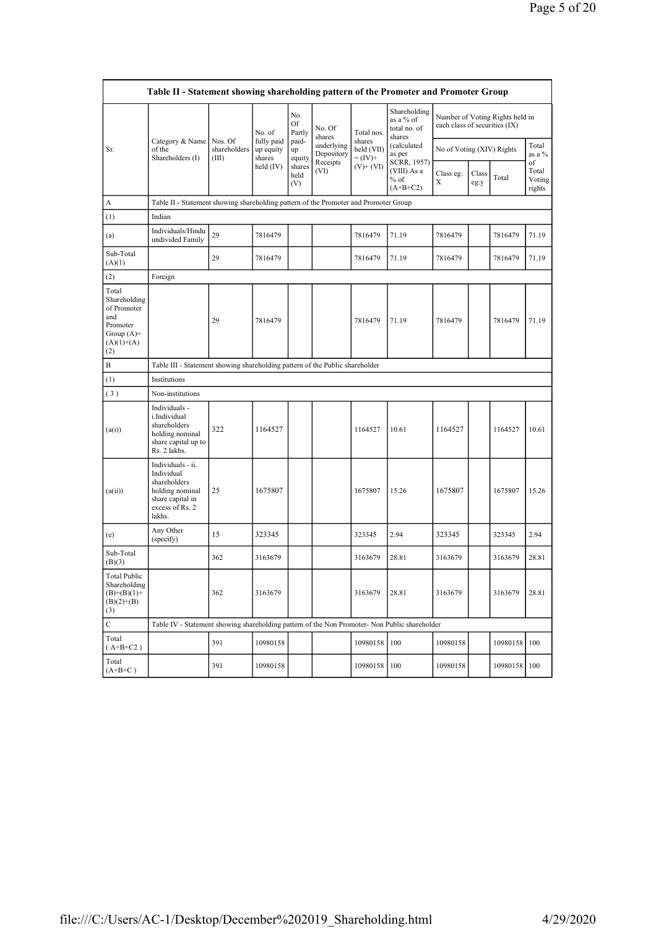|                                                                                                | Table II - Statement showing shareholding pattern of the Promoter and Promoter Group                                |                                  |                                   |                       |                          |                                    |                                                     |                           |                                                                  |              |                                 |
|------------------------------------------------------------------------------------------------|---------------------------------------------------------------------------------------------------------------------|----------------------------------|-----------------------------------|-----------------------|--------------------------|------------------------------------|-----------------------------------------------------|---------------------------|------------------------------------------------------------------|--------------|---------------------------------|
|                                                                                                |                                                                                                                     |                                  | No. of                            | No.<br>Of<br>Partly   | No. Of<br>shares         | Total nos.                         | Shareholding<br>as a % of<br>total no. of<br>shares |                           | Number of Voting Rights held in<br>each class of securities (IX) |              |                                 |
| Sr.                                                                                            | Category & Name<br>of the<br>Shareholders (I)                                                                       | Nos. Of<br>shareholders<br>(III) | fully paid<br>up equity<br>shares | paid-<br>up<br>equity | underlying<br>Depository | shares<br>held (VII)<br>$= (IV) +$ | (calculated<br>as per                               | No of Voting (XIV) Rights |                                                                  |              | Total<br>as a %                 |
|                                                                                                |                                                                                                                     |                                  | held (IV)                         | shares<br>held<br>(V) | Receipts<br>(VI)         | $(V)$ + $(VI)$                     | SCRR, 1957)<br>(VIII) As a<br>$%$ of<br>$(A+B+C2)$  | Class eg:<br>$\mathbf X$  | Class<br>eg:y                                                    | Total        | of<br>Total<br>Voting<br>rights |
| A                                                                                              | Table II - Statement showing shareholding pattern of the Promoter and Promoter Group                                |                                  |                                   |                       |                          |                                    |                                                     |                           |                                                                  |              |                                 |
| (1)                                                                                            | Indian                                                                                                              |                                  |                                   |                       |                          |                                    |                                                     |                           |                                                                  |              |                                 |
| (a)                                                                                            | Individuals/Hindu<br>undivided Family                                                                               | 29                               | 7816479                           |                       |                          | 7816479                            | 71.19                                               | 7816479                   |                                                                  | 7816479      | 71.19                           |
| Sub-Total<br>(A)(1)                                                                            |                                                                                                                     | 29                               | 7816479                           |                       |                          | 7816479                            | 71.19                                               | 7816479                   |                                                                  | 7816479      | 71.19                           |
| (2)                                                                                            | Foreign                                                                                                             |                                  |                                   |                       |                          |                                    |                                                     |                           |                                                                  |              |                                 |
| Total<br>Shareholding<br>of Promoter<br>and<br>Promoter<br>Group $(A)=$<br>$(A)(1)+(A)$<br>(2) |                                                                                                                     | 29                               | 7816479                           |                       |                          | 7816479                            | 71.19                                               | 7816479                   |                                                                  | 7816479      | 71.19                           |
| B                                                                                              | Table III - Statement showing shareholding pattern of the Public shareholder                                        |                                  |                                   |                       |                          |                                    |                                                     |                           |                                                                  |              |                                 |
| (1)                                                                                            | Institutions                                                                                                        |                                  |                                   |                       |                          |                                    |                                                     |                           |                                                                  |              |                                 |
| (3)                                                                                            | Non-institutions                                                                                                    |                                  |                                   |                       |                          |                                    |                                                     |                           |                                                                  |              |                                 |
| (a(i))                                                                                         | Individuals -<br>i.Individual<br>shareholders<br>holding nominal<br>share capital up to<br>Rs. 2 lakhs.             | 322                              | 1164527                           |                       |                          | 1164527                            | 10.61                                               | 1164527                   |                                                                  | 1164527      | 10.61                           |
| (a(ii))                                                                                        | Individuals - ii.<br>Individual<br>shareholders<br>holding nominal<br>share capital in<br>excess of Rs. 2<br>lakhs. | 25                               | 1675807                           |                       |                          | 1675807                            | 15.26                                               | 1675807                   |                                                                  | 1675807      | 15.26                           |
| (e)                                                                                            | Any Other<br>(specify)                                                                                              | 15                               | 323345                            |                       |                          | 323345                             | 2.94                                                | 323345                    |                                                                  | 323345       | 2.94                            |
| Sub-Total<br>(B)(3)                                                                            |                                                                                                                     | 362                              | 3163679                           |                       |                          | 3163679                            | 28.81                                               | 3163679                   |                                                                  | 3163679      | 28.81                           |
| Total Public<br>Shareholding<br>$(B)=(B)(1)+$<br>$(B)(2)+(B)$<br>(3)                           |                                                                                                                     | 362                              | 3163679                           |                       |                          | 3163679                            | 28.81                                               | 3163679                   |                                                                  | 3163679      | 28.81                           |
| $\mathbf C$                                                                                    | Table IV - Statement showing shareholding pattern of the Non Promoter- Non Public shareholder                       |                                  |                                   |                       |                          |                                    |                                                     |                           |                                                                  |              |                                 |
| Total<br>$(A+B+C2)$                                                                            |                                                                                                                     | 391                              | 10980158                          |                       |                          | 10980158                           | 100                                                 | 10980158                  |                                                                  | 10980158 100 |                                 |
| Total<br>$(A+B+C)$                                                                             |                                                                                                                     | 391                              | 10980158                          |                       |                          | 10980158                           | 100                                                 | 10980158                  |                                                                  | 10980158     | 100                             |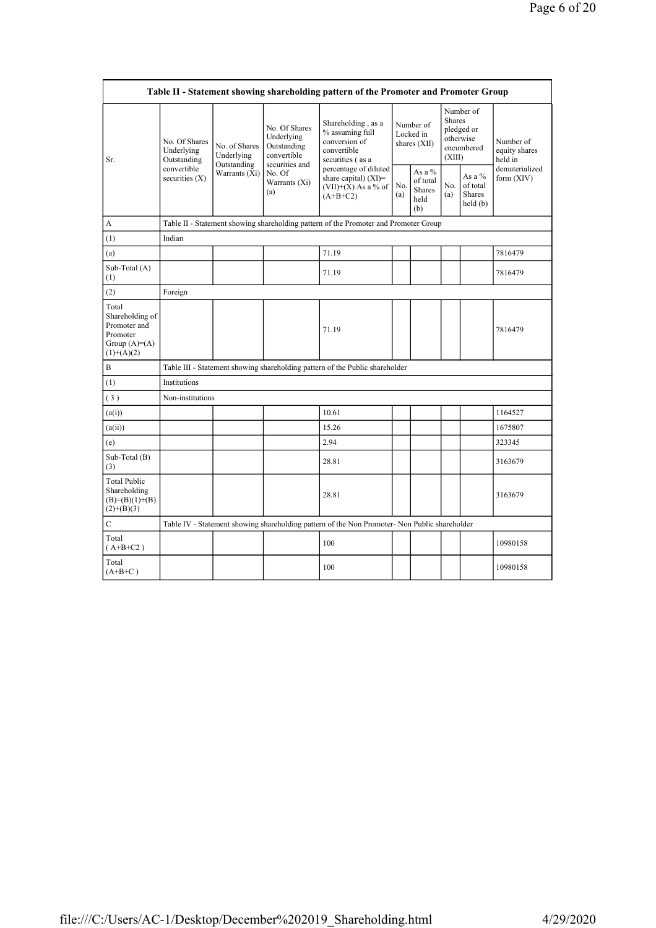|                                                                                        |                                                                                      |                                            |                                                                             | Table II - Statement showing shareholding pattern of the Promoter and Promoter Group          |                                        |                                                    |                         |                                                    |                                       |
|----------------------------------------------------------------------------------------|--------------------------------------------------------------------------------------|--------------------------------------------|-----------------------------------------------------------------------------|-----------------------------------------------------------------------------------------------|----------------------------------------|----------------------------------------------------|-------------------------|----------------------------------------------------|---------------------------------------|
| Sr.                                                                                    | No. Of Shares<br>Underlying<br>Outstanding                                           | No. of Shares<br>Underlying<br>Outstanding | No. Of Shares<br>Underlying<br>Outstanding<br>convertible<br>securities and | Shareholding, as a<br>% assuming full<br>conversion of<br>convertible<br>securities (as a     | Number of<br>Locked in<br>shares (XII) |                                                    | <b>Shares</b><br>(XIII) | Number of<br>pledged or<br>otherwise<br>encumbered | Number of<br>equity shares<br>held in |
|                                                                                        | convertible<br>securities $(X)$                                                      | Warrants (Xi)                              | No. Of<br>Warrants (Xi)<br>(a)                                              | percentage of diluted<br>share capital) $(XI)$ =<br>$(VII)+(X)$ As a % of<br>$(A+B+C2)$       | No.<br>(a)                             | As a %<br>of total<br><b>Shares</b><br>held<br>(b) | No.<br>(a)              | As a %<br>of total<br><b>Shares</b><br>held(b)     | dematerialized<br>form $(XIV)$        |
| A                                                                                      | Table II - Statement showing shareholding pattern of the Promoter and Promoter Group |                                            |                                                                             |                                                                                               |                                        |                                                    |                         |                                                    |                                       |
| (1)                                                                                    | Indian                                                                               |                                            |                                                                             |                                                                                               |                                        |                                                    |                         |                                                    |                                       |
| (a)                                                                                    |                                                                                      |                                            |                                                                             | 71.19                                                                                         |                                        |                                                    |                         |                                                    | 7816479                               |
| Sub-Total (A)<br>(1)                                                                   |                                                                                      |                                            |                                                                             | 71.19                                                                                         |                                        |                                                    |                         |                                                    | 7816479                               |
| (2)                                                                                    | Foreign                                                                              |                                            |                                                                             |                                                                                               |                                        |                                                    |                         |                                                    |                                       |
| Total<br>Shareholding of<br>Promoter and<br>Promoter<br>Group $(A)=A)$<br>$(1)+(A)(2)$ |                                                                                      |                                            |                                                                             | 71.19                                                                                         |                                        |                                                    |                         |                                                    | 7816479                               |
| B                                                                                      |                                                                                      |                                            |                                                                             | Table III - Statement showing shareholding pattern of the Public shareholder                  |                                        |                                                    |                         |                                                    |                                       |
| (1)                                                                                    | Institutions                                                                         |                                            |                                                                             |                                                                                               |                                        |                                                    |                         |                                                    |                                       |
| (3)                                                                                    | Non-institutions                                                                     |                                            |                                                                             |                                                                                               |                                        |                                                    |                         |                                                    |                                       |
| (a(i))                                                                                 |                                                                                      |                                            |                                                                             | 10.61                                                                                         |                                        |                                                    |                         |                                                    | 1164527                               |
| (a(ii))                                                                                |                                                                                      |                                            |                                                                             | 15.26                                                                                         |                                        |                                                    |                         |                                                    | 1675807                               |
| (e)                                                                                    |                                                                                      |                                            |                                                                             | 2.94                                                                                          |                                        |                                                    |                         |                                                    | 323345                                |
| Sub-Total (B)<br>(3)                                                                   |                                                                                      |                                            |                                                                             | 28.81                                                                                         |                                        |                                                    |                         |                                                    | 3163679                               |
| <b>Total Public</b><br>Shareholding<br>$(B)=(B)(1)+(B)$<br>$(2)+(B)(3)$                |                                                                                      |                                            |                                                                             | 28.81                                                                                         |                                        |                                                    |                         |                                                    | 3163679                               |
| $\mathbf C$                                                                            |                                                                                      |                                            |                                                                             | Table IV - Statement showing shareholding pattern of the Non Promoter- Non Public shareholder |                                        |                                                    |                         |                                                    |                                       |
| Total<br>$(A+B+C2)$                                                                    |                                                                                      |                                            |                                                                             | 100                                                                                           |                                        |                                                    |                         |                                                    | 10980158                              |
| Total<br>$(A+B+C)$                                                                     |                                                                                      |                                            |                                                                             | 100                                                                                           |                                        |                                                    |                         |                                                    | 10980158                              |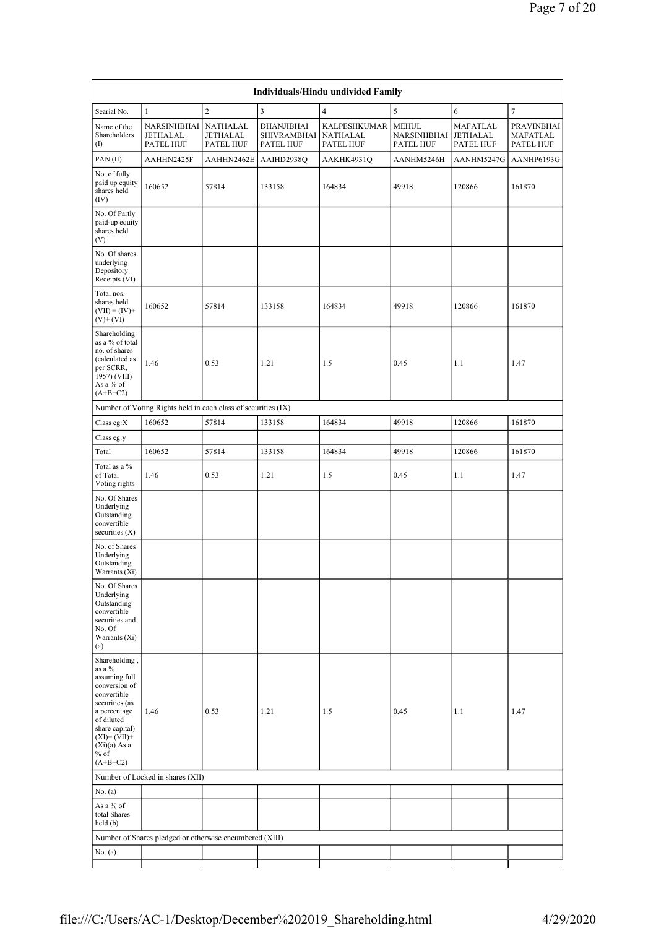| Individuals/Hindu undivided Family                                                                                                                                                                    |                                                               |                                   |                                               |                                              |                                          |                                   |                                     |  |  |  |  |
|-------------------------------------------------------------------------------------------------------------------------------------------------------------------------------------------------------|---------------------------------------------------------------|-----------------------------------|-----------------------------------------------|----------------------------------------------|------------------------------------------|-----------------------------------|-------------------------------------|--|--|--|--|
| Searial No.                                                                                                                                                                                           | $\mathbf{1}$                                                  | $\overline{c}$                    | 3                                             | $\overline{4}$                               | 5                                        | 6                                 | $\overline{7}$                      |  |  |  |  |
| Name of the<br>Shareholders<br>(1)                                                                                                                                                                    | NARSINHBHAI<br><b>JETHALAL</b><br>PATEL HUF                   | NATHALAL<br>JETHALAL<br>PATEL HUF | DHANJIBHAI<br><b>SHIVRAMBHAI</b><br>PATEL HUF | KALPESHKUMAR<br><b>NATHALAL</b><br>PATEL HUF | <b>MEHUL</b><br>NARSINHBHAI<br>PATEL HUF | MAFATLAL<br>JETHALAL<br>PATEL HUF | PRAVINBHAI<br>MAFATLAL<br>PATEL HUF |  |  |  |  |
| PAN(II)                                                                                                                                                                                               | AAHHN2425F                                                    | AAHHN2462E                        | AAIHD2938Q                                    | AAKHK4931Q                                   | AANHM5246H                               | AANHM5247G                        | AANHP6193G                          |  |  |  |  |
| No. of fully<br>paid up equity<br>shares held<br>(IV)                                                                                                                                                 | 160652                                                        | 57814                             | 133158                                        | 164834                                       | 49918                                    | 120866                            | 161870                              |  |  |  |  |
| No. Of Partly<br>paid-up equity<br>shares held<br>(V)                                                                                                                                                 |                                                               |                                   |                                               |                                              |                                          |                                   |                                     |  |  |  |  |
| No. Of shares<br>underlying<br>Depository<br>Receipts (VI)                                                                                                                                            |                                                               |                                   |                                               |                                              |                                          |                                   |                                     |  |  |  |  |
| Total nos.<br>shares held<br>$(VII) = (IV) +$<br>$(V)+(VI)$                                                                                                                                           | 160652                                                        | 57814                             | 133158                                        | 164834                                       | 49918                                    | 120866                            | 161870                              |  |  |  |  |
| Shareholding<br>as a % of total<br>no. of shares<br>(calculated as<br>per SCRR,<br>1957) (VIII)<br>As a % of<br>$(A+B+C2)$                                                                            | 1.46                                                          | 0.53                              | 1.21                                          | 1.5                                          | 0.45                                     | 1.1                               | 1.47                                |  |  |  |  |
|                                                                                                                                                                                                       | Number of Voting Rights held in each class of securities (IX) |                                   |                                               |                                              |                                          |                                   |                                     |  |  |  |  |
| Class eg: $X$                                                                                                                                                                                         | 160652                                                        | 57814                             | 133158                                        | 164834                                       | 49918                                    | 120866                            | 161870                              |  |  |  |  |
| Class eg:y                                                                                                                                                                                            |                                                               |                                   |                                               |                                              |                                          |                                   |                                     |  |  |  |  |
| Total                                                                                                                                                                                                 | 160652                                                        | 57814                             | 133158                                        | 164834                                       | 49918                                    | 120866                            | 161870                              |  |  |  |  |
| Total as a %<br>of Total<br>Voting rights                                                                                                                                                             | 1.46                                                          | 0.53                              | 1.21                                          | 1.5                                          | 0.45                                     | 1.1                               | 1.47                                |  |  |  |  |
| No. Of Shares<br>Underlying<br>Outstanding<br>convertible<br>securities $(X)$                                                                                                                         |                                                               |                                   |                                               |                                              |                                          |                                   |                                     |  |  |  |  |
| No. of Shares<br>Underlying<br>Outstanding<br>Warrants (Xi)                                                                                                                                           |                                                               |                                   |                                               |                                              |                                          |                                   |                                     |  |  |  |  |
| No. Of Shares<br>Underlying<br>Outstanding<br>convertible<br>securities and<br>No. Of<br>Warrants (Xi)<br>(a)                                                                                         |                                                               |                                   |                                               |                                              |                                          |                                   |                                     |  |  |  |  |
| Shareholding,<br>as a %<br>assuming full<br>conversion of<br>convertible<br>securities (as<br>a percentage<br>of diluted<br>share capital)<br>$(XI)=(VII)+$<br>$(Xi)(a)$ As a<br>$%$ of<br>$(A+B+C2)$ | 1.46                                                          | 0.53                              | 1.21                                          | 1.5                                          | 0.45                                     | 1.1                               | 1.47                                |  |  |  |  |
|                                                                                                                                                                                                       | Number of Locked in shares (XII)                              |                                   |                                               |                                              |                                          |                                   |                                     |  |  |  |  |
| No. $(a)$                                                                                                                                                                                             |                                                               |                                   |                                               |                                              |                                          |                                   |                                     |  |  |  |  |
| As a % of<br>total Shares<br>held(b)                                                                                                                                                                  |                                                               |                                   |                                               |                                              |                                          |                                   |                                     |  |  |  |  |
|                                                                                                                                                                                                       | Number of Shares pledged or otherwise encumbered (XIII)       |                                   |                                               |                                              |                                          |                                   |                                     |  |  |  |  |
| No. (a)                                                                                                                                                                                               |                                                               |                                   |                                               |                                              |                                          |                                   |                                     |  |  |  |  |
|                                                                                                                                                                                                       |                                                               |                                   |                                               |                                              |                                          |                                   |                                     |  |  |  |  |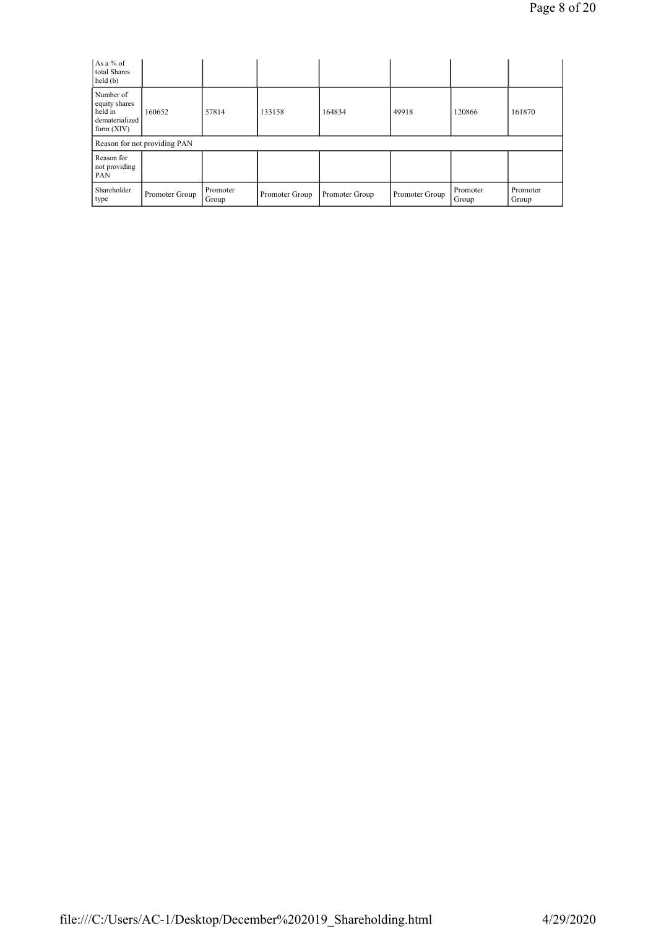| As a % of<br>total Shares<br>held(b)                                    |                              |                   |                |                |                |                   |                   |
|-------------------------------------------------------------------------|------------------------------|-------------------|----------------|----------------|----------------|-------------------|-------------------|
| Number of<br>equity shares<br>held in<br>dematerialized<br>form $(XIV)$ | 160652                       | 57814             | 133158         | 164834         | 49918          | 120866            | 161870            |
|                                                                         | Reason for not providing PAN |                   |                |                |                |                   |                   |
| Reason for<br>not providing<br>PAN                                      |                              |                   |                |                |                |                   |                   |
| Shareholder<br>type                                                     | Promoter Group               | Promoter<br>Group | Promoter Group | Promoter Group | Promoter Group | Promoter<br>Group | Promoter<br>Group |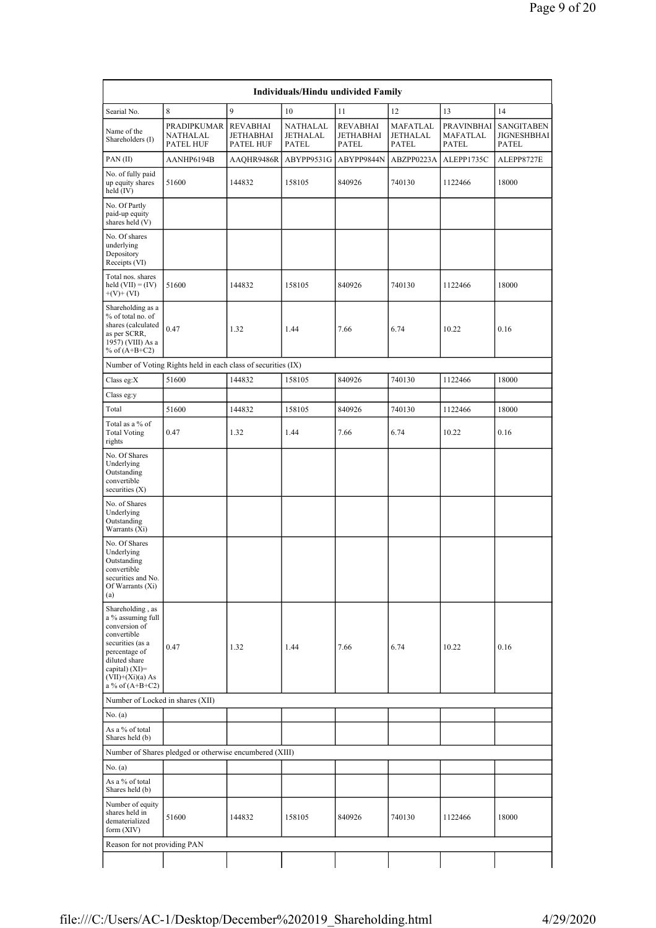| Individuals/Hindu undivided Family                                                                                                                                                          |                                                               |                                                  |                                      |                                              |                                             |                                        |                                                  |  |  |  |  |
|---------------------------------------------------------------------------------------------------------------------------------------------------------------------------------------------|---------------------------------------------------------------|--------------------------------------------------|--------------------------------------|----------------------------------------------|---------------------------------------------|----------------------------------------|--------------------------------------------------|--|--|--|--|
| Searial No.                                                                                                                                                                                 | $\,8\,$                                                       | 9                                                | 10                                   | 11                                           | 12                                          | 13                                     | 14                                               |  |  |  |  |
| Name of the<br>Shareholders (I)                                                                                                                                                             | PRADIPKUMAR<br>NATHALAL<br>PATEL HUF                          | <b>REVABHAI</b><br>JETHABHAI<br><b>PATEL HUF</b> | NATHALAL<br>JETHALAL<br><b>PATEL</b> | <b>REVABHAI</b><br>JETHABHAI<br><b>PATEL</b> | MAFATLAL<br><b>JETHALAL</b><br><b>PATEL</b> | PRAVINBHAI<br>MAFATLAL<br><b>PATEL</b> | <b>SANGITABEN</b><br>JIGNESHBHAI<br><b>PATEL</b> |  |  |  |  |
| PAN(II)                                                                                                                                                                                     | AANHP6194B                                                    | AAQHR9486R                                       | ABYPP9531G                           | ABYPP9844N                                   | ABZPP0223A                                  | ALEPP1735C                             | ALEPP8727E                                       |  |  |  |  |
| No. of fully paid<br>up equity shares<br>held (IV)                                                                                                                                          | 51600                                                         | 144832                                           | 158105                               | 840926                                       | 740130                                      | 1122466                                | 18000                                            |  |  |  |  |
| No. Of Partly<br>paid-up equity<br>shares held (V)                                                                                                                                          |                                                               |                                                  |                                      |                                              |                                             |                                        |                                                  |  |  |  |  |
| No. Of shares<br>underlying<br>Depository<br>Receipts (VI)                                                                                                                                  |                                                               |                                                  |                                      |                                              |                                             |                                        |                                                  |  |  |  |  |
| Total nos. shares<br>held $(VII) = (IV)$<br>$+(V)+(VI)$                                                                                                                                     | 51600                                                         | 144832                                           | 158105                               | 840926                                       | 740130                                      | 1122466                                | 18000                                            |  |  |  |  |
| Shareholding as a<br>% of total no. of<br>shares (calculated<br>as per SCRR,<br>1957) (VIII) As a<br>% of $(A+B+C2)$                                                                        | 0.47                                                          | 1.32                                             | 1.44                                 | 7.66                                         | 6.74                                        | 10.22                                  | 0.16                                             |  |  |  |  |
|                                                                                                                                                                                             | Number of Voting Rights held in each class of securities (IX) |                                                  |                                      |                                              |                                             |                                        |                                                  |  |  |  |  |
| Class eg: $X$                                                                                                                                                                               | 51600                                                         | 144832                                           | 158105                               | 840926                                       | 740130                                      | 1122466                                | 18000                                            |  |  |  |  |
| Class eg:y                                                                                                                                                                                  |                                                               |                                                  |                                      |                                              |                                             |                                        |                                                  |  |  |  |  |
| Total                                                                                                                                                                                       | 51600                                                         | 144832                                           | 158105                               | 840926                                       | 740130                                      | 1122466                                | 18000                                            |  |  |  |  |
| Total as a % of<br><b>Total Voting</b><br>rights                                                                                                                                            | 0.47                                                          | 1.32                                             | 1.44                                 | 7.66                                         | 6.74                                        | 10.22                                  | 0.16                                             |  |  |  |  |
| No. Of Shares<br>Underlying<br>Outstanding<br>convertible<br>securities (X)                                                                                                                 |                                                               |                                                  |                                      |                                              |                                             |                                        |                                                  |  |  |  |  |
| No. of Shares<br>Underlying<br>Outstanding<br>Warrants (Xi)                                                                                                                                 |                                                               |                                                  |                                      |                                              |                                             |                                        |                                                  |  |  |  |  |
| No. Of Shares<br>Underlying<br>Outstanding<br>convertible<br>securities and No.<br>Of Warrants (Xi)<br>(a)                                                                                  |                                                               |                                                  |                                      |                                              |                                             |                                        |                                                  |  |  |  |  |
| Shareholding, as<br>a % assuming full<br>conversion of<br>convertible<br>securities (as a<br>percentage of<br>diluted share<br>capital) $(XI)$ =<br>$(VII)+(Xi)(a) As$<br>a % of $(A+B+C2)$ | 0.47                                                          | 1.32                                             | 1.44                                 | 7.66                                         | 6.74                                        | 10.22                                  | 0.16                                             |  |  |  |  |
| Number of Locked in shares (XII)                                                                                                                                                            |                                                               |                                                  |                                      |                                              |                                             |                                        |                                                  |  |  |  |  |
| No. (a)                                                                                                                                                                                     |                                                               |                                                  |                                      |                                              |                                             |                                        |                                                  |  |  |  |  |
| As a % of total<br>Shares held (b)                                                                                                                                                          |                                                               |                                                  |                                      |                                              |                                             |                                        |                                                  |  |  |  |  |
|                                                                                                                                                                                             | Number of Shares pledged or otherwise encumbered (XIII)       |                                                  |                                      |                                              |                                             |                                        |                                                  |  |  |  |  |
| No. (a)                                                                                                                                                                                     |                                                               |                                                  |                                      |                                              |                                             |                                        |                                                  |  |  |  |  |
| As a % of total<br>Shares held (b)                                                                                                                                                          |                                                               |                                                  |                                      |                                              |                                             |                                        |                                                  |  |  |  |  |
| Number of equity<br>shares held in<br>dematerialized<br>form (XIV)                                                                                                                          | 51600                                                         | 144832                                           | 158105                               | 840926                                       | 740130                                      | 1122466                                | 18000                                            |  |  |  |  |
| Reason for not providing PAN                                                                                                                                                                |                                                               |                                                  |                                      |                                              |                                             |                                        |                                                  |  |  |  |  |
|                                                                                                                                                                                             |                                                               |                                                  |                                      |                                              |                                             |                                        |                                                  |  |  |  |  |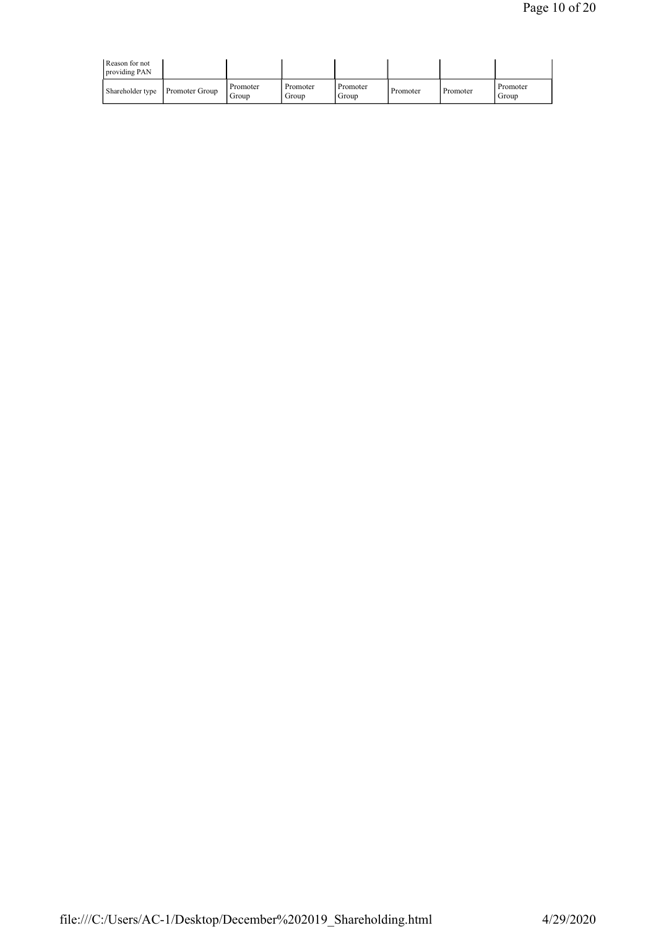| Reason for not<br>providing PAN |                       |                   |                   |                   |          |          |                   |
|---------------------------------|-----------------------|-------------------|-------------------|-------------------|----------|----------|-------------------|
| Shareholder type                | <b>Promoter Group</b> | Promoter<br>Group | Promoter<br>Group | Promoter<br>Group | Promoter | Promoter | Promoter<br>Group |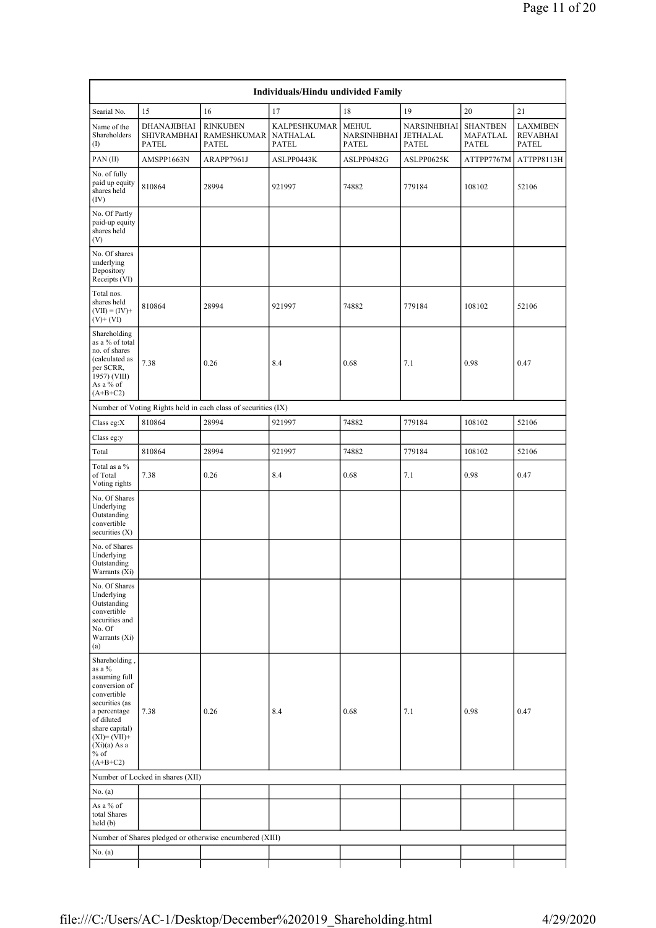| Individuals/Hindu undivided Family                                                                                                                                                                    |                                                   |                                                               |                                                 |                                      |                                         |                                      |                                             |  |  |  |  |  |
|-------------------------------------------------------------------------------------------------------------------------------------------------------------------------------------------------------|---------------------------------------------------|---------------------------------------------------------------|-------------------------------------------------|--------------------------------------|-----------------------------------------|--------------------------------------|---------------------------------------------|--|--|--|--|--|
| Searial No.                                                                                                                                                                                           | 15                                                | 16                                                            | 17                                              | 18                                   | 19                                      | 20                                   | 21                                          |  |  |  |  |  |
| Name of the<br>Shareholders<br>(1)                                                                                                                                                                    | DHANAJIBHAI<br><b>SHIVRAMBHAI</b><br><b>PATEL</b> | <b>RINKUBEN</b><br><b>RAMESHKUMAR</b><br><b>PATEL</b>         | <b>KALPESHKUMAR</b><br>NATHALAL<br><b>PATEL</b> | <b>MEHUL</b><br>NARSINHBHAI<br>PATEL | NARSINHBHAI<br>JETHALAL<br><b>PATEL</b> | <b>SHANTBEN</b><br>MAFATLAL<br>PATEL | <b>LAXMIBEN</b><br><b>REVABHAI</b><br>PATEL |  |  |  |  |  |
| PAN(II)                                                                                                                                                                                               | AMSPP1663N                                        | ARAPP7961J                                                    | ASLPP0443K                                      | ASLPP0482G                           | ASLPP0625K                              | ATTPP7767M                           | ATTPP8113H                                  |  |  |  |  |  |
| No. of fully<br>paid up equity<br>shares held<br>(IV)                                                                                                                                                 | 810864                                            | 28994                                                         | 921997                                          | 74882                                | 779184                                  | 108102                               | 52106                                       |  |  |  |  |  |
| No. Of Partly<br>paid-up equity<br>shares held<br>(V)                                                                                                                                                 |                                                   |                                                               |                                                 |                                      |                                         |                                      |                                             |  |  |  |  |  |
| No. Of shares<br>underlying<br>Depository<br>Receipts (VI)                                                                                                                                            |                                                   |                                                               |                                                 |                                      |                                         |                                      |                                             |  |  |  |  |  |
| Total nos.<br>shares held<br>$(VII) = (IV) +$<br>$(V)+(VI)$                                                                                                                                           | 810864                                            | 28994                                                         | 921997                                          | 74882                                | 779184                                  | 108102                               | 52106                                       |  |  |  |  |  |
| Shareholding<br>as a % of total<br>no. of shares<br>(calculated as<br>per SCRR,<br>1957) (VIII)<br>As a % of<br>$(A+B+C2)$                                                                            | 7.38                                              | 0.26                                                          | 8.4                                             | 0.68                                 | 7.1                                     | 0.98                                 | 0.47                                        |  |  |  |  |  |
|                                                                                                                                                                                                       |                                                   | Number of Voting Rights held in each class of securities (IX) |                                                 |                                      |                                         |                                      |                                             |  |  |  |  |  |
| Class eg:X                                                                                                                                                                                            | 810864                                            | 28994                                                         | 921997                                          | 74882                                | 779184                                  | 108102                               | 52106                                       |  |  |  |  |  |
| Class eg:y                                                                                                                                                                                            |                                                   |                                                               |                                                 |                                      |                                         |                                      |                                             |  |  |  |  |  |
| Total                                                                                                                                                                                                 | 810864                                            | 28994                                                         | 921997                                          | 74882                                | 779184                                  | 108102                               | 52106                                       |  |  |  |  |  |
| Total as a %<br>of Total<br>Voting rights                                                                                                                                                             | 7.38                                              | 0.26                                                          | 8.4                                             | 0.68                                 | 7.1                                     | 0.98                                 | 0.47                                        |  |  |  |  |  |
| No. Of Shares<br>Underlying<br>Outstanding<br>convertible<br>securities $(X)$                                                                                                                         |                                                   |                                                               |                                                 |                                      |                                         |                                      |                                             |  |  |  |  |  |
| No. of Shares<br>Underlying<br>Outstanding<br>Warrants (Xi)                                                                                                                                           |                                                   |                                                               |                                                 |                                      |                                         |                                      |                                             |  |  |  |  |  |
| No. Of Shares<br>Underlying<br>Outstanding<br>convertible<br>securities and<br>No. Of<br>Warrants (Xi)<br>(a)                                                                                         |                                                   |                                                               |                                                 |                                      |                                         |                                      |                                             |  |  |  |  |  |
| Shareholding,<br>as a %<br>assuming full<br>conversion of<br>convertible<br>securities (as<br>a percentage<br>of diluted<br>share capital)<br>$(XI)=(VII)+$<br>$(Xi)(a)$ As a<br>$%$ of<br>$(A+B+C2)$ | 7.38                                              | 0.26                                                          | 8.4                                             | 0.68                                 | 7.1                                     | 0.98                                 | 0.47                                        |  |  |  |  |  |
|                                                                                                                                                                                                       | Number of Locked in shares (XII)                  |                                                               |                                                 |                                      |                                         |                                      |                                             |  |  |  |  |  |
| No. (a)                                                                                                                                                                                               |                                                   |                                                               |                                                 |                                      |                                         |                                      |                                             |  |  |  |  |  |
| As a % of<br>total Shares<br>held(b)                                                                                                                                                                  |                                                   |                                                               |                                                 |                                      |                                         |                                      |                                             |  |  |  |  |  |
|                                                                                                                                                                                                       |                                                   | Number of Shares pledged or otherwise encumbered (XIII)       |                                                 |                                      |                                         |                                      |                                             |  |  |  |  |  |
| No. $(a)$                                                                                                                                                                                             |                                                   |                                                               |                                                 |                                      |                                         |                                      |                                             |  |  |  |  |  |
|                                                                                                                                                                                                       |                                                   |                                                               |                                                 |                                      |                                         |                                      |                                             |  |  |  |  |  |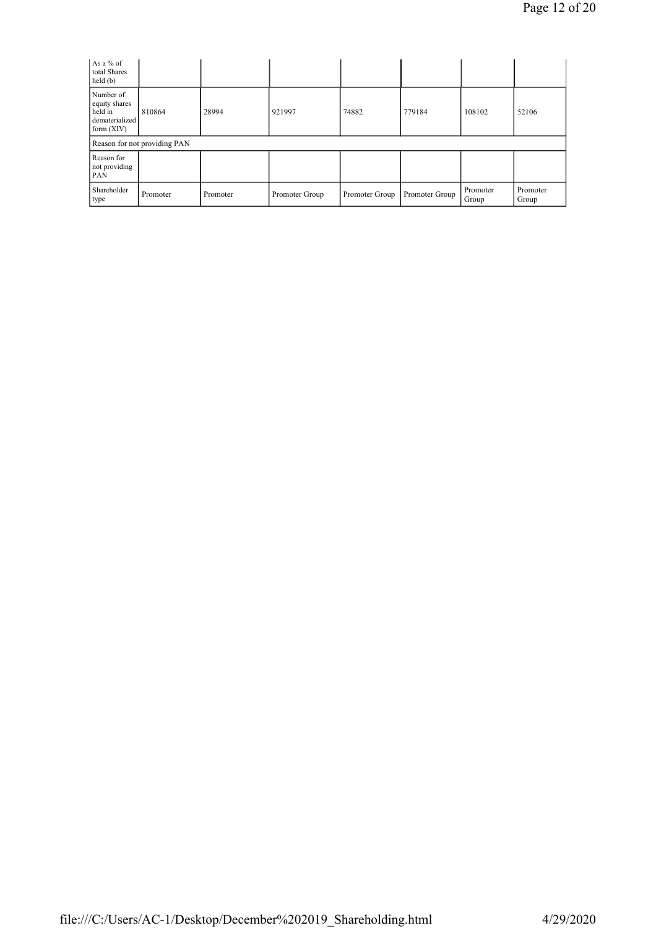| As a % of<br>total Shares<br>held(b)                                    |                              |          |                |                |                |                   |                   |
|-------------------------------------------------------------------------|------------------------------|----------|----------------|----------------|----------------|-------------------|-------------------|
| Number of<br>equity shares<br>held in<br>dematerialized<br>form $(XIV)$ | 810864                       | 28994    | 921997         | 74882          | 779184         | 108102            | 52106             |
|                                                                         | Reason for not providing PAN |          |                |                |                |                   |                   |
| Reason for<br>not providing<br><b>PAN</b>                               |                              |          |                |                |                |                   |                   |
| Shareholder<br>type                                                     | Promoter                     | Promoter | Promoter Group | Promoter Group | Promoter Group | Promoter<br>Group | Promoter<br>Group |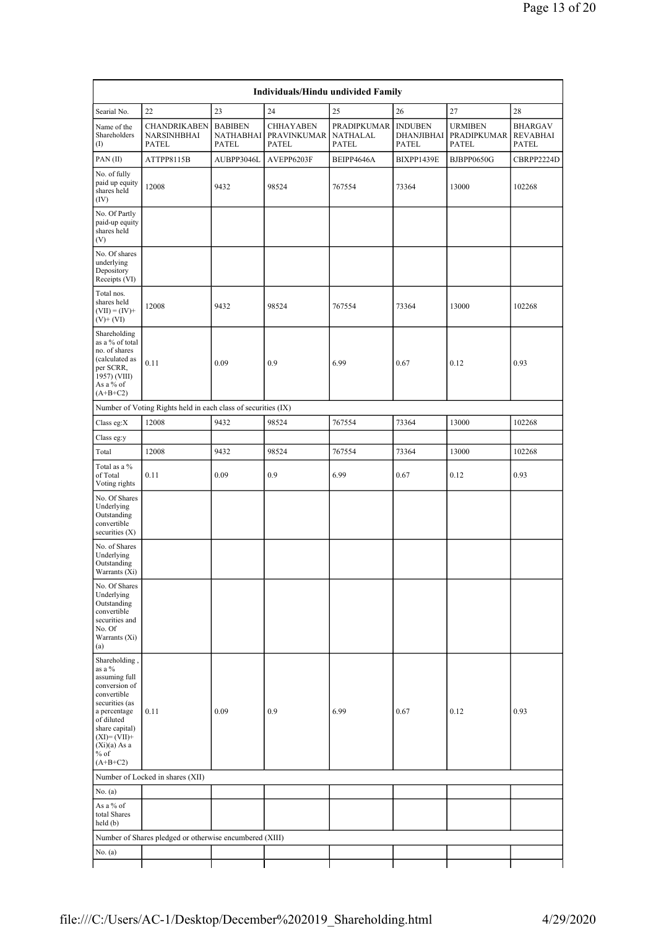| Individuals/Hindu undivided Family                                                                                                                                                                    |                                                               |                                             |                                                 |                                         |                                       |                                               |                                            |  |  |  |
|-------------------------------------------------------------------------------------------------------------------------------------------------------------------------------------------------------|---------------------------------------------------------------|---------------------------------------------|-------------------------------------------------|-----------------------------------------|---------------------------------------|-----------------------------------------------|--------------------------------------------|--|--|--|
| 22<br>24<br>25<br>27<br>28<br>23<br>26<br>Searial No.                                                                                                                                                 |                                                               |                                             |                                                 |                                         |                                       |                                               |                                            |  |  |  |
| Name of the<br>Shareholders<br>$\rm (I)$                                                                                                                                                              | CHANDRIKABEN<br><b>NARSINHBHAI</b><br><b>PATEL</b>            | <b>BABIBEN</b><br>NATHABHAI<br><b>PATEL</b> | <b>CHHAYABEN</b><br>PRAVINKUMAR<br><b>PATEL</b> | PRADIPKUMAR<br>NATHALAL<br><b>PATEL</b> | <b>INDUBEN</b><br>DHANJIBHAI<br>PATEL | <b>URMIBEN</b><br>PRADIPKUMAR<br><b>PATEL</b> | <b>BHARGAV</b><br>REVABHAI<br><b>PATEL</b> |  |  |  |
| PAN(II)                                                                                                                                                                                               | ATTPP8115B                                                    | AUBPP3046L                                  | AVEPP6203F                                      | BEIPP4646A                              | BIXPP1439E                            | <b>BJBPP0650G</b>                             | CBRPP2224D                                 |  |  |  |
| No. of fully<br>paid up equity<br>shares held<br>(IV)                                                                                                                                                 | 12008                                                         | 9432                                        | 98524                                           | 767554                                  | 73364                                 | 13000                                         |                                            |  |  |  |
| No. Of Partly<br>paid-up equity<br>shares held<br>(V)                                                                                                                                                 |                                                               |                                             |                                                 |                                         |                                       |                                               |                                            |  |  |  |
| No. Of shares<br>underlying<br>Depository<br>Receipts (VI)                                                                                                                                            |                                                               |                                             |                                                 |                                         |                                       |                                               |                                            |  |  |  |
| Total nos.<br>shares held<br>$(VII) = (IV) +$<br>$(V)+(VI)$                                                                                                                                           | 12008                                                         | 9432                                        | 98524                                           | 767554                                  | 73364                                 | 13000                                         | 102268                                     |  |  |  |
| Shareholding<br>as a % of total<br>no. of shares<br>(calculated as<br>per SCRR,<br>1957) (VIII)<br>As a % of<br>$(A+B+C2)$                                                                            | 0.11                                                          | 0.09                                        | 0.9                                             | 6.99                                    | 0.67                                  | 0.12                                          | 0.93                                       |  |  |  |
|                                                                                                                                                                                                       | Number of Voting Rights held in each class of securities (IX) |                                             |                                                 |                                         |                                       |                                               |                                            |  |  |  |
| Class eg:X                                                                                                                                                                                            | 12008                                                         | 9432                                        | 98524                                           | 767554                                  | 73364                                 | 13000                                         | 102268                                     |  |  |  |
| Class eg:y                                                                                                                                                                                            |                                                               |                                             |                                                 |                                         |                                       |                                               |                                            |  |  |  |
| Total                                                                                                                                                                                                 | 12008                                                         | 9432                                        | 98524                                           | 767554                                  | 73364                                 | 13000                                         | 102268                                     |  |  |  |
| Total as a %<br>of Total<br>Voting rights                                                                                                                                                             | 0.11                                                          | 0.09                                        | 0.9                                             | 6.99                                    | 0.67                                  | 0.12                                          | 0.93                                       |  |  |  |
| No. Of Shares<br>Underlying<br>Outstanding<br>convertible<br>securities $(X)$                                                                                                                         |                                                               |                                             |                                                 |                                         |                                       |                                               |                                            |  |  |  |
| No. of Shares<br>Underlying<br>Outstanding<br>Warrants (Xi)                                                                                                                                           |                                                               |                                             |                                                 |                                         |                                       |                                               |                                            |  |  |  |
| No. Of Shares<br>Underlying<br>Outstanding<br>convertible<br>securities and<br>No. Of<br>Warrants (Xi)<br>(a)                                                                                         |                                                               |                                             |                                                 |                                         |                                       |                                               |                                            |  |  |  |
| Shareholding,<br>as a %<br>assuming full<br>conversion of<br>convertible<br>securities (as<br>a percentage<br>of diluted<br>share capital)<br>$(XI)=(VII)+$<br>$(Xi)(a)$ As a<br>$%$ of<br>$(A+B+C2)$ | 0.11                                                          | 0.09                                        | 0.9                                             | 6.99                                    | 0.67                                  | 0.12                                          | 0.93                                       |  |  |  |
|                                                                                                                                                                                                       | Number of Locked in shares (XII)                              |                                             |                                                 |                                         |                                       |                                               |                                            |  |  |  |
| No. $(a)$                                                                                                                                                                                             |                                                               |                                             |                                                 |                                         |                                       |                                               |                                            |  |  |  |
| As a % of<br>total Shares<br>held(b)                                                                                                                                                                  |                                                               |                                             |                                                 |                                         |                                       |                                               |                                            |  |  |  |
|                                                                                                                                                                                                       | Number of Shares pledged or otherwise encumbered (XIII)       |                                             |                                                 |                                         |                                       |                                               |                                            |  |  |  |
| No. (a)                                                                                                                                                                                               |                                                               |                                             |                                                 |                                         |                                       |                                               |                                            |  |  |  |
|                                                                                                                                                                                                       |                                                               |                                             |                                                 |                                         |                                       |                                               |                                            |  |  |  |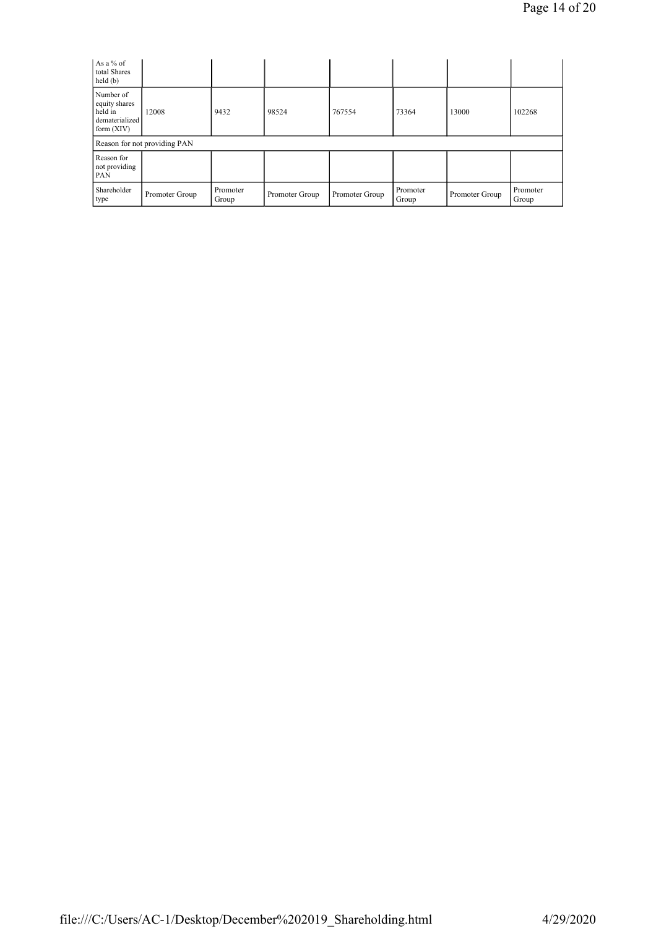| As a % of<br>total Shares<br>held(b)                                    |                              |                   |                |                |                   |                |                   |
|-------------------------------------------------------------------------|------------------------------|-------------------|----------------|----------------|-------------------|----------------|-------------------|
| Number of<br>equity shares<br>held in<br>dematerialized<br>form $(XIV)$ | 12008                        | 9432              | 98524          | 767554         | 73364             | 13000          | 102268            |
|                                                                         | Reason for not providing PAN |                   |                |                |                   |                |                   |
| Reason for<br>not providing<br>PAN                                      |                              |                   |                |                |                   |                |                   |
| Shareholder<br>type                                                     | Promoter Group               | Promoter<br>Group | Promoter Group | Promoter Group | Promoter<br>Group | Promoter Group | Promoter<br>Group |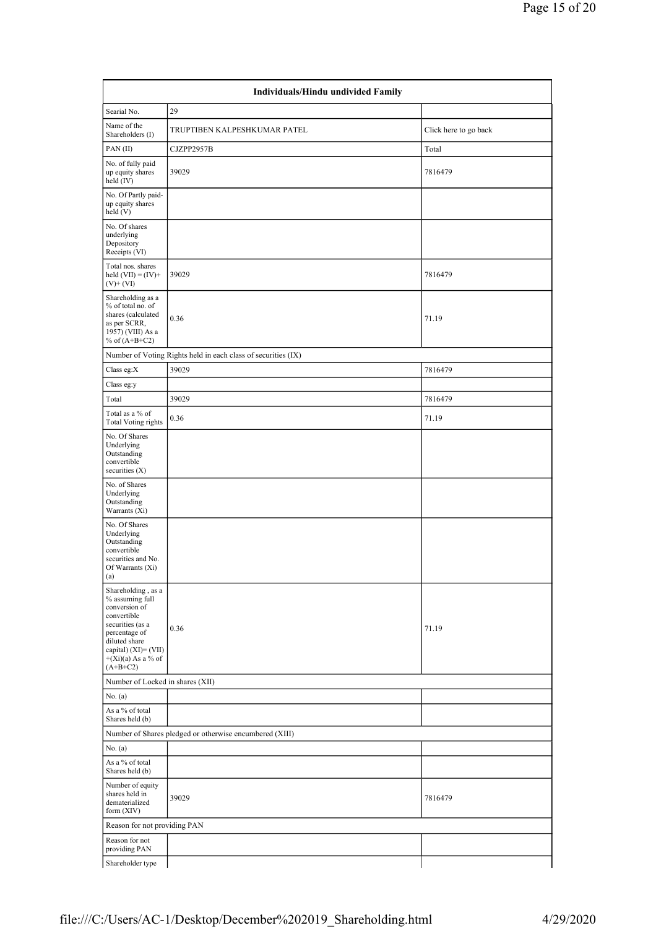| Individuals/Hindu undivided Family                                                                                                                                                        |                                                               |                       |  |  |  |  |  |  |  |  |
|-------------------------------------------------------------------------------------------------------------------------------------------------------------------------------------------|---------------------------------------------------------------|-----------------------|--|--|--|--|--|--|--|--|
| Searial No.                                                                                                                                                                               | 29                                                            |                       |  |  |  |  |  |  |  |  |
| Name of the<br>Shareholders (I)                                                                                                                                                           | TRUPTIBEN KALPESHKUMAR PATEL                                  | Click here to go back |  |  |  |  |  |  |  |  |
| PAN(II)                                                                                                                                                                                   | CJZPP2957B                                                    | Total                 |  |  |  |  |  |  |  |  |
| No. of fully paid<br>up equity shares<br>held $(IV)$                                                                                                                                      | 39029                                                         | 7816479               |  |  |  |  |  |  |  |  |
| No. Of Partly paid-<br>up equity shares<br>held(V)                                                                                                                                        |                                                               |                       |  |  |  |  |  |  |  |  |
| No. Of shares<br>underlying<br>Depository<br>Receipts (VI)                                                                                                                                |                                                               |                       |  |  |  |  |  |  |  |  |
| Total nos. shares<br>held $(VII) = (IV) +$<br>$(V)$ + $(VI)$                                                                                                                              | 39029                                                         | 7816479               |  |  |  |  |  |  |  |  |
| Shareholding as a<br>% of total no. of<br>shares (calculated<br>as per SCRR,<br>1957) (VIII) As a<br>% of $(A+B+C2)$                                                                      | 0.36                                                          | 71.19                 |  |  |  |  |  |  |  |  |
|                                                                                                                                                                                           | Number of Voting Rights held in each class of securities (IX) |                       |  |  |  |  |  |  |  |  |
| Class eg:X                                                                                                                                                                                | 39029                                                         | 7816479               |  |  |  |  |  |  |  |  |
| Class eg:y                                                                                                                                                                                |                                                               |                       |  |  |  |  |  |  |  |  |
| Total                                                                                                                                                                                     | 39029                                                         | 7816479               |  |  |  |  |  |  |  |  |
| Total as a % of<br><b>Total Voting rights</b>                                                                                                                                             | 0.36                                                          | 71.19                 |  |  |  |  |  |  |  |  |
| No. Of Shares<br>Underlying<br>Outstanding<br>convertible<br>securities $(X)$                                                                                                             |                                                               |                       |  |  |  |  |  |  |  |  |
| No. of Shares<br>Underlying<br>Outstanding<br>Warrants (Xi)                                                                                                                               |                                                               |                       |  |  |  |  |  |  |  |  |
| No. Of Shares<br>Underlying<br>Outstanding<br>convertible<br>securities and No.<br>Of Warrants (Xi)<br>$\left( a\right)$                                                                  |                                                               |                       |  |  |  |  |  |  |  |  |
| Shareholding, as a<br>% assuming full<br>conversion of<br>convertible<br>securities (as a<br>percentage of<br>diluted share<br>capital) (XI)= (VII)<br>$+(Xi)(a)$ As a % of<br>$(A+B+C2)$ | 0.36                                                          | 71.19                 |  |  |  |  |  |  |  |  |
| Number of Locked in shares (XII)                                                                                                                                                          |                                                               |                       |  |  |  |  |  |  |  |  |
| No. (a)                                                                                                                                                                                   |                                                               |                       |  |  |  |  |  |  |  |  |
| As a % of total<br>Shares held (b)                                                                                                                                                        |                                                               |                       |  |  |  |  |  |  |  |  |
|                                                                                                                                                                                           | Number of Shares pledged or otherwise encumbered (XIII)       |                       |  |  |  |  |  |  |  |  |
| No. (a)                                                                                                                                                                                   |                                                               |                       |  |  |  |  |  |  |  |  |
| As a % of total<br>Shares held (b)                                                                                                                                                        |                                                               |                       |  |  |  |  |  |  |  |  |
| Number of equity<br>shares held in<br>dematerialized<br>form (XIV)                                                                                                                        | 39029                                                         | 7816479               |  |  |  |  |  |  |  |  |
| Reason for not providing PAN                                                                                                                                                              |                                                               |                       |  |  |  |  |  |  |  |  |
| Reason for not<br>providing PAN                                                                                                                                                           |                                                               |                       |  |  |  |  |  |  |  |  |
| Shareholder type                                                                                                                                                                          |                                                               |                       |  |  |  |  |  |  |  |  |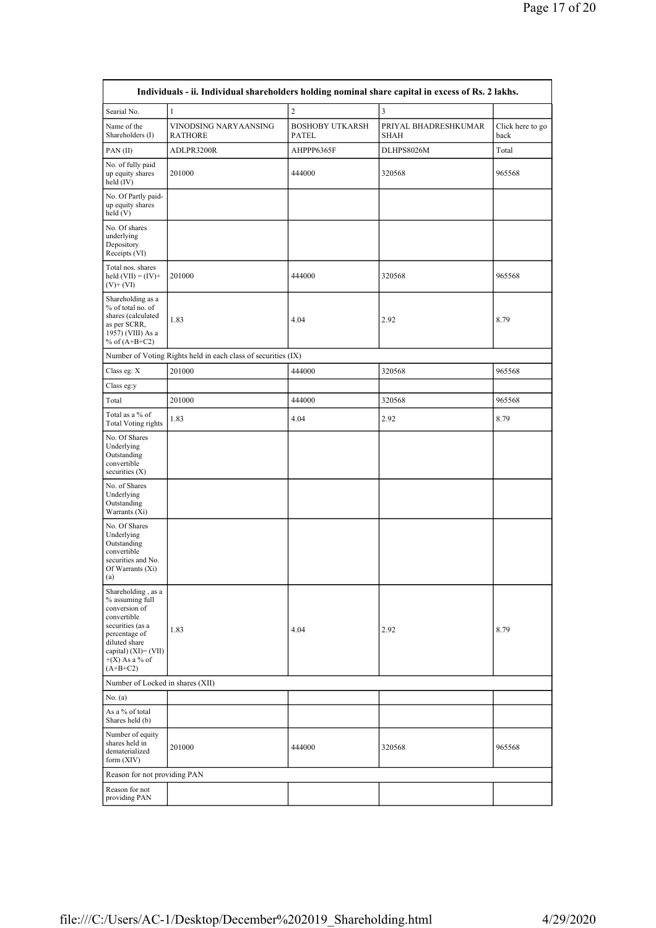| Individuals - ii. Individual shareholders holding nominal share capital in excess of Rs. 2 lakhs.                                                                                        |                                                               |                                        |                                     |                          |  |  |  |  |  |
|------------------------------------------------------------------------------------------------------------------------------------------------------------------------------------------|---------------------------------------------------------------|----------------------------------------|-------------------------------------|--------------------------|--|--|--|--|--|
| Searial No.                                                                                                                                                                              | $\mathbf{1}$                                                  | $\sqrt{2}$                             | $\overline{\mathbf{3}}$             |                          |  |  |  |  |  |
| Name of the<br>Shareholders (I)                                                                                                                                                          | VINODSING NARYAANSING<br><b>RATHORE</b>                       | <b>BOSHOBY UTKARSH</b><br><b>PATEL</b> | PRIYAL BHADRESHKUMAR<br><b>SHAH</b> | Click here to go<br>back |  |  |  |  |  |
| PAN(II)                                                                                                                                                                                  | ADLPR3200R                                                    | AHPPP6365F                             | DLHPS8026M                          | Total                    |  |  |  |  |  |
| No. of fully paid<br>up equity shares<br>held (IV)                                                                                                                                       | 201000                                                        | 444000                                 | 320568                              | 965568                   |  |  |  |  |  |
| No. Of Partly paid-<br>up equity shares<br>held (V)                                                                                                                                      |                                                               |                                        |                                     |                          |  |  |  |  |  |
| No. Of shares<br>underlying<br>Depository<br>Receipts (VI)                                                                                                                               |                                                               |                                        |                                     |                          |  |  |  |  |  |
| Total nos. shares<br>held $(VII) = (IV) +$<br>$(V)$ + $(VI)$                                                                                                                             | 201000                                                        | 444000                                 | 320568                              | 965568                   |  |  |  |  |  |
| Shareholding as a<br>% of total no. of<br>shares (calculated<br>as per SCRR,<br>1957) (VIII) As a<br>% of $(A+B+C2)$                                                                     | 1.83                                                          | 4.04                                   | 2.92                                | 8.79                     |  |  |  |  |  |
|                                                                                                                                                                                          | Number of Voting Rights held in each class of securities (IX) |                                        |                                     |                          |  |  |  |  |  |
| Class eg: X                                                                                                                                                                              | 201000                                                        | 444000                                 | 320568                              | 965568                   |  |  |  |  |  |
| Class eg:y                                                                                                                                                                               |                                                               |                                        |                                     |                          |  |  |  |  |  |
| Total                                                                                                                                                                                    | 201000                                                        | 444000                                 | 320568                              | 965568                   |  |  |  |  |  |
| Total as a % of<br><b>Total Voting rights</b>                                                                                                                                            | 1.83                                                          | 4.04                                   | 2.92                                | 8.79                     |  |  |  |  |  |
| No. Of Shares<br>Underlying<br>Outstanding<br>convertible<br>securities $(X)$                                                                                                            |                                                               |                                        |                                     |                          |  |  |  |  |  |
| No. of Shares<br>Underlying<br>Outstanding<br>Warrants (Xi)                                                                                                                              |                                                               |                                        |                                     |                          |  |  |  |  |  |
| No. Of Shares<br>Underlying<br>Outstanding<br>convertible<br>securities and No.<br>Of Warrants (Xi)<br>(a)                                                                               |                                                               |                                        |                                     |                          |  |  |  |  |  |
| Shareholding, as a<br>% assuming full<br>conversion of<br>convertible<br>securities (as a<br>percentage of<br>diluted share<br>capital) $(XI) = (VII)$<br>$+(X)$ As a % of<br>$(A+B+C2)$ | 1.83                                                          | 4.04                                   | 2.92                                | 8.79                     |  |  |  |  |  |
| Number of Locked in shares (XII)                                                                                                                                                         |                                                               |                                        |                                     |                          |  |  |  |  |  |
| No. (a)                                                                                                                                                                                  |                                                               |                                        |                                     |                          |  |  |  |  |  |
| As a % of total<br>Shares held (b)                                                                                                                                                       |                                                               |                                        |                                     |                          |  |  |  |  |  |
| Number of equity<br>shares held in<br>dematerialized<br>form (XIV)                                                                                                                       | 201000                                                        | 444000                                 | 320568                              | 965568                   |  |  |  |  |  |
| Reason for not providing PAN                                                                                                                                                             |                                                               |                                        |                                     |                          |  |  |  |  |  |
| Reason for not<br>providing PAN                                                                                                                                                          |                                                               |                                        |                                     |                          |  |  |  |  |  |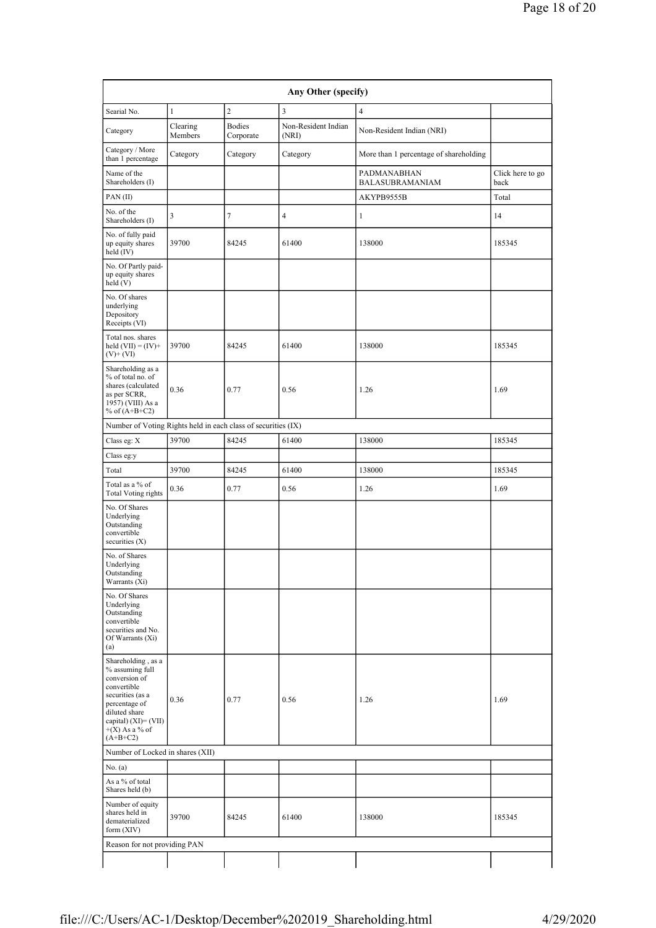| Any Other (specify)                                                                                                                                                                      |                     |                            |                              |                                        |                          |  |  |  |  |  |
|------------------------------------------------------------------------------------------------------------------------------------------------------------------------------------------|---------------------|----------------------------|------------------------------|----------------------------------------|--------------------------|--|--|--|--|--|
| Searial No.                                                                                                                                                                              | $\mathbf{1}$        | $\overline{c}$             | $\overline{\mathbf{3}}$      | $\overline{4}$                         |                          |  |  |  |  |  |
| Category                                                                                                                                                                                 | Clearing<br>Members | <b>Bodies</b><br>Corporate | Non-Resident Indian<br>(NRI) | Non-Resident Indian (NRI)              |                          |  |  |  |  |  |
| Category / More<br>than 1 percentage                                                                                                                                                     | Category            | Category                   | Category                     | More than 1 percentage of shareholding |                          |  |  |  |  |  |
| Name of the<br>Shareholders (I)                                                                                                                                                          |                     |                            |                              | PADMANABHAN<br>BALASUBRAMANIAM         | Click here to go<br>back |  |  |  |  |  |
| PAN(II)                                                                                                                                                                                  |                     |                            |                              | AKYPB9555B                             | Total                    |  |  |  |  |  |
| No. of the<br>Shareholders (I)                                                                                                                                                           | 3                   | 7                          | 4                            | $\mathbf{1}$                           | 14                       |  |  |  |  |  |
| No. of fully paid<br>up equity shares<br>held (IV)                                                                                                                                       | 39700               | 84245                      | 61400                        | 138000                                 | 185345                   |  |  |  |  |  |
| No. Of Partly paid-<br>up equity shares<br>held (V)                                                                                                                                      |                     |                            |                              |                                        |                          |  |  |  |  |  |
| No. Of shares<br>underlying<br>Depository<br>Receipts (VI)                                                                                                                               |                     |                            |                              |                                        |                          |  |  |  |  |  |
| Total nos. shares<br>held $(VII) = (IV) +$<br>$(V)$ + $(VI)$                                                                                                                             | 39700               | 84245                      | 61400                        | 138000                                 | 185345                   |  |  |  |  |  |
| Shareholding as a<br>% of total no. of<br>shares (calculated<br>as per SCRR,<br>1957) (VIII) As a<br>% of $(A+B+C2)$                                                                     | 0.36                | 0.77                       | 0.56                         | 1.26                                   | 1.69                     |  |  |  |  |  |
| Number of Voting Rights held in each class of securities (IX)                                                                                                                            |                     |                            |                              |                                        |                          |  |  |  |  |  |
| Class eg: X                                                                                                                                                                              | 39700               | 84245                      | 61400                        | 138000                                 | 185345                   |  |  |  |  |  |
| Class eg:y                                                                                                                                                                               |                     |                            |                              |                                        |                          |  |  |  |  |  |
| Total                                                                                                                                                                                    | 39700               | 84245                      | 61400                        | 138000                                 | 185345                   |  |  |  |  |  |
| Total as a % of<br><b>Total Voting rights</b>                                                                                                                                            | 0.36                | 0.77                       | 0.56                         | 1.26                                   | 1.69                     |  |  |  |  |  |
| No. Of Shares<br>Underlying<br>Outstanding<br>convertible<br>securities (X)                                                                                                              |                     |                            |                              |                                        |                          |  |  |  |  |  |
| No. of Shares<br>Underlying<br>Outstanding<br>Warrants (Xi)                                                                                                                              |                     |                            |                              |                                        |                          |  |  |  |  |  |
| No. Of Shares<br>Underlying<br>Outstanding<br>convertible<br>securities and No.<br>Of Warrants (Xi)<br>(a)                                                                               |                     |                            |                              |                                        |                          |  |  |  |  |  |
| Shareholding, as a<br>% assuming full<br>conversion of<br>convertible<br>securities (as a<br>percentage of<br>diluted share<br>capital) $(XI) = (VII)$<br>$+(X)$ As a % of<br>$(A+B+C2)$ | 0.36                | 0.77                       | 0.56                         | 1.26                                   | 1.69                     |  |  |  |  |  |
| Number of Locked in shares (XII)                                                                                                                                                         |                     |                            |                              |                                        |                          |  |  |  |  |  |
| No. (a)                                                                                                                                                                                  |                     |                            |                              |                                        |                          |  |  |  |  |  |
| As a % of total<br>Shares held (b)                                                                                                                                                       |                     |                            |                              |                                        |                          |  |  |  |  |  |
| Number of equity<br>shares held in<br>dematerialized<br>form $(XIV)$                                                                                                                     | 39700               | 84245                      | 61400                        | 138000                                 | 185345                   |  |  |  |  |  |
| Reason for not providing PAN                                                                                                                                                             |                     |                            |                              |                                        |                          |  |  |  |  |  |
|                                                                                                                                                                                          |                     |                            |                              |                                        |                          |  |  |  |  |  |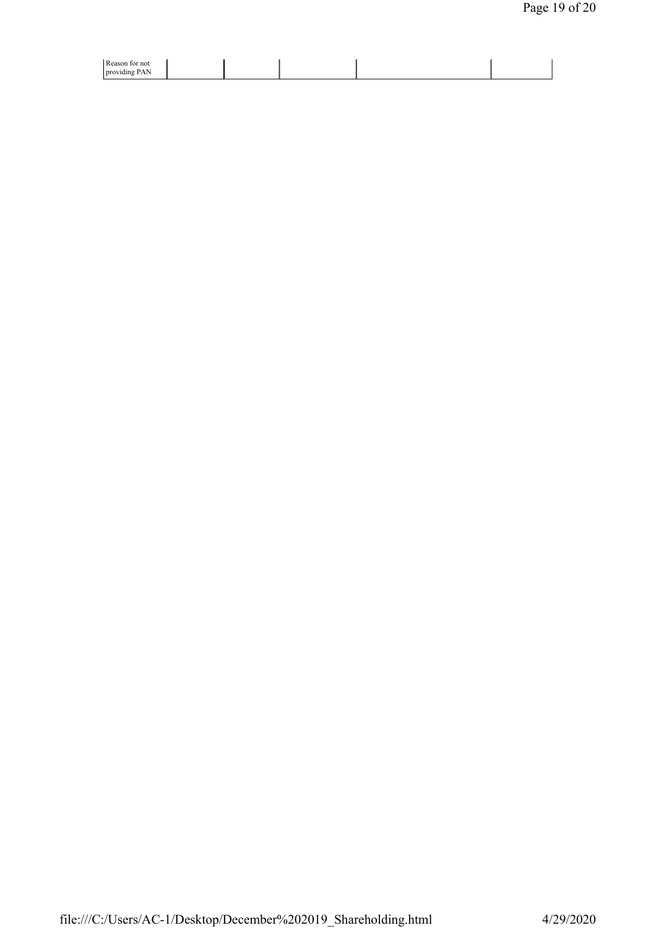| Reason for not                    |  |  |  |
|-----------------------------------|--|--|--|
| .<br>PAN <sub></sub><br>providing |  |  |  |